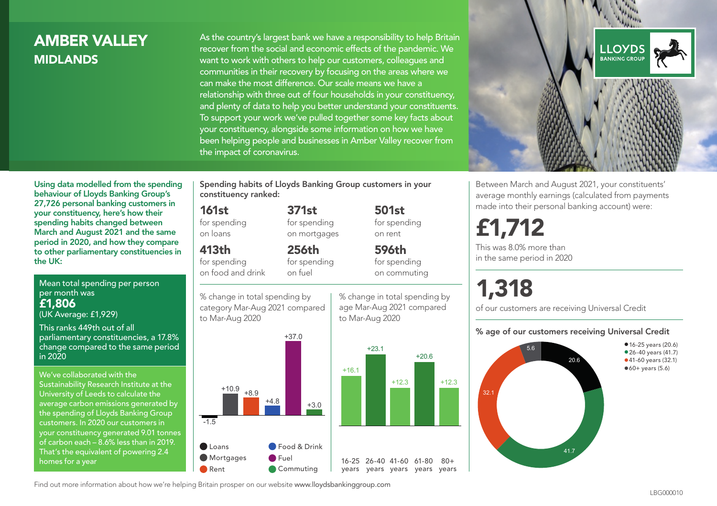### **AMBER VALLEY** MIDLANDS

As the country's largest bank we have a responsibility to help Britain recover from the social and economic effects of the pandemic. We want to work with others to help our customers, colleagues and communities in their recovery by focusing on the areas where we can make the most difference. Our scale means we have a relationship with three out of four households in your constituency, and plenty of data to help you better understand your constituents. To support your work we've pulled together some key facts about your constituency, alongside some information on how we have been helping people and businesses in Amber Valley recover from the impact of coronavirus.



Between March and August 2021, your constituents' average monthly earnings (calculated from payments made into their personal banking account) were:

## £1,712

This was 8.0% more than in the same period in 2020

of our customers are receiving Universal Credit

#### % age of our customers receiving Universal Credit



Using data modelled from the spending behaviour of Lloyds Banking Group's 27,726 personal banking customers in your constituency, here's how their spending habits changed between March and August 2021 and the same period in 2020, and how they compare to other parliamentary constituencies in the UK:

Mean total spending per person per month was £1,806 (UK Average: £1,929)

This ranks 449th out of all parliamentary constituencies, a 17.8% change compared to the same period in 2020

We've collaborated with the Sustainability Research Institute at the University of Leeds to calculate the average carbon emissions generated by the spending of Lloyds Banking Group customers. In 2020 our customers in your constituency generated 9.01 tonnes of carbon each – 8.6% less than in 2019. That's the equivalent of powering 2.4 homes for a year

Spending habits of Lloyds Banking Group customers in your constituency ranked:

> 371st for spending on mortgages

256th for spending on fuel

#### 161st

for spending on loans

#### 413th

for spending on food and drink

% change in total spending by category Mar-Aug 2021 compared

to Mar-Aug 2020



% change in total spending by age Mar-Aug 2021 compared to Mar-Aug 2020

501st for spending on rent 596th for spending

+20.6

 $80+$ 

on commuting

# 1,318

+12.3

Find out more information about how we're helping Britain prosper on our website www.lloydsbankinggroup.com